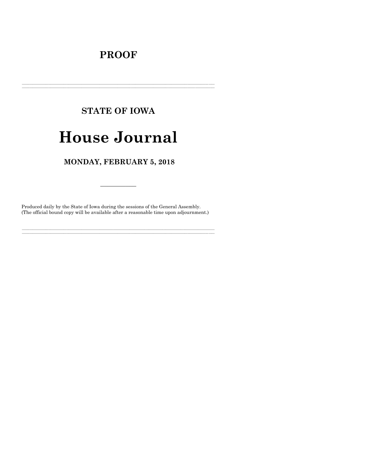# **PROOF**

# **STATE OF IOWA**

# **House Journal**

## MONDAY, FEBRUARY 5, 2018

Produced daily by the State of Iowa during the sessions of the General Assembly. (The official bound copy will be available after a reasonable time upon adjournment.)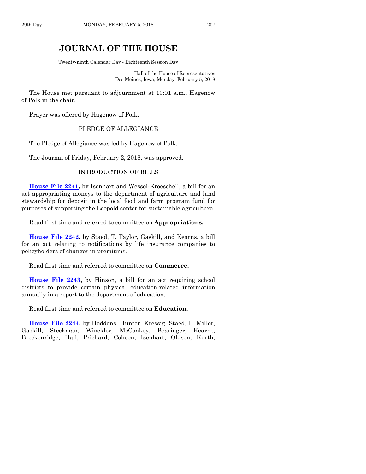### **JOURNAL OF THE HOUSE**

Twenty-ninth Calendar Day - Eighteenth Session Day

Hall of the House of Representatives Des Moines, Iowa, Monday, February 5, 2018

The House met pursuant to adjournment at 10:01 a.m., Hagenow of Polk in the chair.

Prayer was offered by Hagenow of Polk.

#### PLEDGE OF ALLEGIANCE

The Pledge of Allegiance was led by Hagenow of Polk.

The Journal of Friday, February 2, 2018, was approved.

#### INTRODUCTION OF BILLS

**[House File 2241,](https://www.legis.iowa.gov/legislation/BillBook?ga=87&ba=HF2241)** by Isenhart and Wessel-Kroeschell, a bill for an act appropriating moneys to the department of agriculture and land stewardship for deposit in the local food and farm program fund for purposes of supporting the Leopold center for sustainable agriculture.

Read first time and referred to committee on **Appropriations.**

**[House File 2242,](https://www.legis.iowa.gov/legislation/BillBook?ga=87&ba=HF2242)** by Staed, T. Taylor, Gaskill, and Kearns, a bill for an act relating to notifications by life insurance companies to policyholders of changes in premiums.

Read first time and referred to committee on **Commerce.**

**[House File 2243,](https://www.legis.iowa.gov/legislation/BillBook?ga=87&ba=HF2243)** by Hinson, a bill for an act requiring school districts to provide certain physical education-related information annually in a report to the department of education.

Read first time and referred to committee on **Education.**

**[House File 2244,](https://www.legis.iowa.gov/legislation/BillBook?ga=87&ba=HF2244)** by Heddens, Hunter, Kressig, Staed, P. Miller, Gaskill, Steckman, Winckler, McConkey, Bearinger, Kearns, Breckenridge, Hall, Prichard, Cohoon, Isenhart, Oldson, Kurth,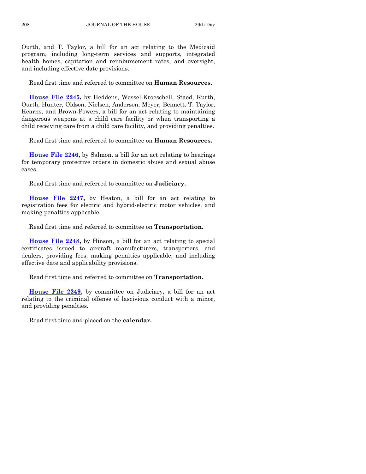Ourth, and T. Taylor, a bill for an act relating to the Medicaid program, including long-term services and supports, integrated health homes, capitation and reimbursement rates, and oversight, and including effective date provisions.

Read first time and referred to committee on **Human Resources.**

**[House File 2245,](https://www.legis.iowa.gov/legislation/BillBook?ga=87&ba=HF2245)** by Heddens, Wessel-Kroeschell, Staed, Kurth, Ourth, Hunter, Oldson, Nielsen, Anderson, Meyer, Bennett, T. Taylor, Kearns, and Brown-Powers, a bill for an act relating to maintaining dangerous weapons at a child care facility or when transporting a child receiving care from a child care facility, and providing penalties.

Read first time and referred to committee on **Human Resources.**

**[House File 2246,](https://www.legis.iowa.gov/legislation/BillBook?ga=87&ba=HF2246)** by Salmon, a bill for an act relating to hearings for temporary protective orders in domestic abuse and sexual abuse cases.

Read first time and referred to committee on **Judiciary.**

**[House File 2247,](https://www.legis.iowa.gov/legislation/BillBook?ga=87&ba=HF2247)** by Heaton, a bill for an act relating to registration fees for electric and hybrid-electric motor vehicles, and making penalties applicable.

Read first time and referred to committee on **Transportation.**

**[House File 2248,](https://www.legis.iowa.gov/legislation/BillBook?ga=87&ba=HF2248)** by Hinson, a bill for an act relating to special certificates issued to aircraft manufacturers, transporters, and dealers, providing fees, making penalties applicable, and including effective date and applicability provisions.

Read first time and referred to committee on **Transportation.**

**[House File 2249,](https://www.legis.iowa.gov/legislation/BillBook?ga=87&ba=HF2249)** by committee on Judiciary, a bill for an act relating to the criminal offense of lascivious conduct with a minor, and providing penalties.

Read first time and placed on the **calendar.**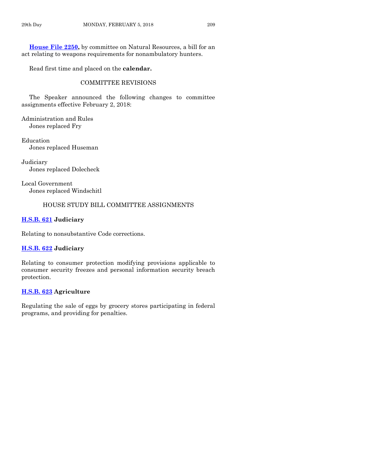**[House File 2250,](https://www.legis.iowa.gov/legislation/BillBook?ga=87&ba=HF2250)** by committee on Natural Resources, a bill for an act relating to weapons requirements for nonambulatory hunters.

Read first time and placed on the **calendar.**

#### COMMITTEE REVISIONS

The Speaker announced the following changes to committee assignments effective February 2, 2018:

Administration and Rules Jones replaced Fry

Education Jones replaced Huseman

Judiciary Jones replaced Dolecheck

Local Government Jones replaced Windschitl

#### HOUSE STUDY BILL COMMITTEE ASSIGNMENTS

#### **[H.S.B. 621](https://www.legis.iowa.gov/legislation/BillBook?ga=87&ba=HSB621) Judiciary**

Relating to nonsubstantive Code corrections.

#### **[H.S.B. 622](https://www.legis.iowa.gov/legislation/BillBook?ga=87&ba=HSB622) Judiciary**

Relating to consumer protection modifying provisions applicable to consumer security freezes and personal information security breach protection.

#### **[H.S.B. 623](https://www.legis.iowa.gov/legislation/BillBook?ga=87&ba=HSB623) Agriculture**

Regulating the sale of eggs by grocery stores participating in federal programs, and providing for penalties.